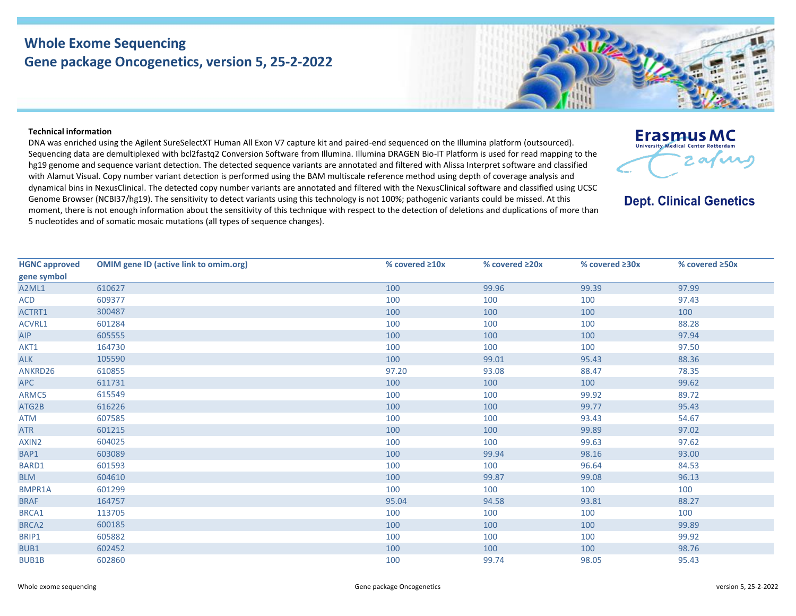## **Whole Exome Sequencing Gene package Oncogenetics, version 5, 25-2-2022**

## **Technical information**

DNA was enriched using the Agilent SureSelectXT Human All Exon V7 capture kit and paired-end sequenced on the Illumina platform (outsourced). Sequencing data are demultiplexed with bcl2fastq2 Conversion Software from Illumina. Illumina DRAGEN Bio-IT Platform is used for read mapping to the hg19 genome and sequence variant detection. The detected sequence variants are annotated and filtered with Alissa Interpret software and classified with Alamut Visual. Copy number variant detection is performed using the BAM multiscale reference method using depth of coverage analysis and dynamical bins in NexusClinical. The detected copy number variants are annotated and filtered with the NexusClinical software and classified using UCSC Genome Browser (NCBI37/hg19). The sensitivity to detect variants using this technology is not 100%; pathogenic variants could be missed. At this moment, there is not enough information about the sensitivity of this technique with respect to the detection of deletions and duplications of more than 5 nucleotides and of somatic mosaic mutations (all types of sequence changes).

| <b>HGNC approved</b> | <b>OMIM gene ID (active link to omim.org)</b> | % covered $\geq 10x$ | % covered ≥20x | % covered $\geq 30x$ | % covered $\geq$ 50x |
|----------------------|-----------------------------------------------|----------------------|----------------|----------------------|----------------------|
| gene symbol          |                                               |                      |                |                      |                      |
| A2ML1                | 610627                                        | 100                  | 99.96          | 99.39                | 97.99                |
| ACD                  | 609377                                        | 100                  | 100            | 100                  | 97.43                |
| ACTRT1               | 300487                                        | 100                  | 100            | 100                  | 100                  |
| <b>ACVRL1</b>        | 601284                                        | 100                  | 100            | 100                  | 88.28                |
| <b>AIP</b>           | 605555                                        | 100                  | 100            | 100                  | 97.94                |
| AKT1                 | 164730                                        | 100                  | 100            | 100                  | 97.50                |
| <b>ALK</b>           | 105590                                        | 100                  | 99.01          | 95.43                | 88.36                |
| ANKRD26              | 610855                                        | 97.20                | 93.08          | 88.47                | 78.35                |
| <b>APC</b>           | 611731                                        | 100                  | 100            | 100                  | 99.62                |
| ARMC5                | 615549                                        | 100                  | 100            | 99.92                | 89.72                |
| ATG2B                | 616226                                        | 100                  | 100            | 99.77                | 95.43                |
| ATM                  | 607585                                        | 100                  | 100            | 93.43                | 54.67                |
| <b>ATR</b>           | 601215                                        | 100                  | 100            | 99.89                | 97.02                |
| AXIN2                | 604025                                        | 100                  | 100            | 99.63                | 97.62                |
| BAP1                 | 603089                                        | 100                  | 99.94          | 98.16                | 93.00                |
| BARD1                | 601593                                        | 100                  | 100            | 96.64                | 84.53                |
| <b>BLM</b>           | 604610                                        | 100                  | 99.87          | 99.08                | 96.13                |
| <b>BMPR1A</b>        | 601299                                        | 100                  | 100            | 100                  | 100                  |
| <b>BRAF</b>          | 164757                                        | 95.04                | 94.58          | 93.81                | 88.27                |
| BRCA1                | 113705                                        | 100                  | 100            | 100                  | 100                  |
| BRCA <sub>2</sub>    | 600185                                        | 100                  | 100            | 100                  | 99.89                |
| BRIP1                | 605882                                        | 100                  | 100            | 100                  | 99.92                |
| <b>BUB1</b>          | 602452                                        | 100                  | 100            | 100                  | 98.76                |
| <b>BUB1B</b>         | 602860                                        | 100                  | 99.74          | 98.05                | 95.43                |
|                      |                                               |                      |                |                      |                      |





**Erasmus MC University Medical Center Rotterdam** 

**Dept. Clinical Genetics** 

2 av vas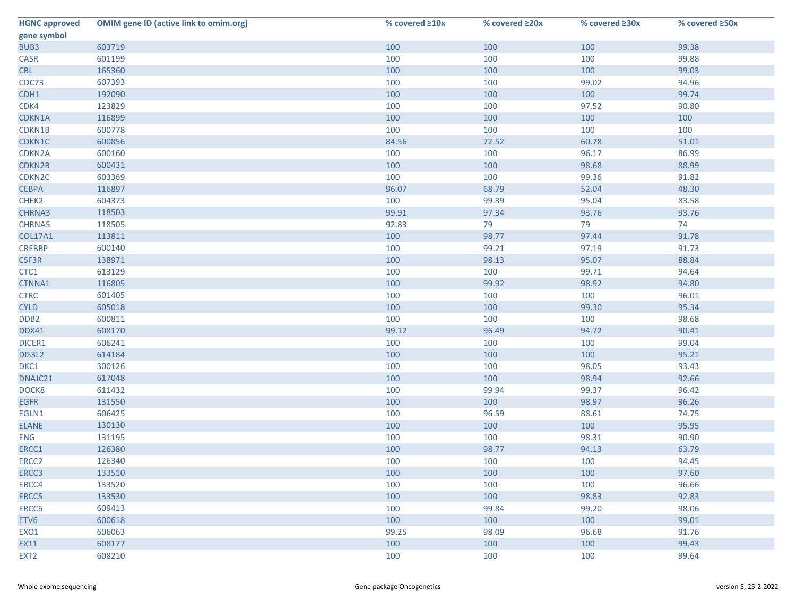| <b>HGNC approved</b> | <b>OMIM gene ID (active link to omim.org)</b> | % covered $\geq 10x$ | % covered ≥20x | % covered $\geq 30x$ | % covered ≥50x |
|----------------------|-----------------------------------------------|----------------------|----------------|----------------------|----------------|
| gene symbol          |                                               |                      |                |                      |                |
| BUB3                 | 603719                                        | 100                  | 100            | 100                  | 99.38          |
| <b>CASR</b>          | 601199                                        | 100                  | 100            | 100                  | 99.88          |
| <b>CBL</b>           | 165360                                        | 100                  | 100            | 100                  | 99.03          |
| CDC73                | 607393                                        | 100                  | 100            | 99.02                | 94.96          |
| CDH1                 | 192090                                        | 100                  | 100            | 100                  | 99.74          |
| CDK4                 | 123829                                        | 100                  | 100            | 97.52                | 90.80          |
| CDKN1A               | 116899                                        | 100                  | 100            | 100                  | 100            |
| CDKN1B               | 600778                                        | 100                  | 100            | 100                  | 100            |
| CDKN1C               | 600856                                        | 84.56                | 72.52          | 60.78                | 51.01          |
| CDKN2A               | 600160                                        | 100                  | 100            | 96.17                | 86.99          |
| CDKN2B               | 600431                                        | 100                  | 100            | 98.68                | 88.99          |
| CDKN <sub>2C</sub>   | 603369                                        | 100                  | 100            | 99.36                | 91.82          |
| <b>CEBPA</b>         | 116897                                        | 96.07                | 68.79          | 52.04                | 48.30          |
| CHEK2                | 604373                                        | 100                  | 99.39          | 95.04                | 83.58          |
| CHRNA3               | 118503                                        | 99.91                | 97.34          | 93.76                | 93.76          |
| <b>CHRNA5</b>        | 118505                                        | 92.83                | 79             | 79                   | 74             |
| <b>COL17A1</b>       | 113811                                        | 100                  | 98.77          | 97.44                | 91.78          |
| <b>CREBBP</b>        | 600140                                        | 100                  | 99.21          | 97.19                | 91.73          |
| CSF3R                | 138971                                        | 100                  | 98.13          | 95.07                | 88.84          |
| CTC1                 | 613129                                        | 100                  | 100            | 99.71                | 94.64          |
| CTNNA1               | 116805                                        | 100                  | 99.92          | 98.92                | 94.80          |
| <b>CTRC</b>          | 601405                                        | 100                  | 100            | 100                  | 96.01          |
| <b>CYLD</b>          | 605018                                        | 100                  | 100            | 99.30                | 95.34          |
| DDB <sub>2</sub>     | 600811                                        | 100                  | 100            | 100                  | 98.68          |
| DDX41                | 608170                                        | 99.12                | 96.49          | 94.72                | 90.41          |
| DICER1               | 606241                                        | 100                  | 100            | 100                  | 99.04          |
| DIS3L2               | 614184                                        | 100                  | 100            | 100                  | 95.21          |
| DKC1                 | 300126                                        | 100                  | 100            | 98.05                | 93.43          |
| DNAJC21              | 617048                                        | 100                  | 100            | 98.94                | 92.66          |
| DOCK8                | 611432                                        | 100                  | 99.94          | 99.37                | 96.42          |
| <b>EGFR</b>          | 131550                                        | 100                  | 100            | 98.97                | 96.26          |
| EGLN1                | 606425                                        | 100                  | 96.59          | 88.61                | 74.75          |
| <b>ELANE</b>         | 130130                                        | 100                  | 100            | 100                  | 95.95          |
| ENG                  | 131195                                        | 100                  | 100            | 98.31                | 90.90          |
| ERCC1                | 126380                                        | 100                  | 98.77          | 94.13                | 63.79          |
| ERCC <sub>2</sub>    | 126340                                        | 100                  | 100            | 100                  | 94.45          |
| ERCC3                | 133510                                        | 100                  | 100            | 100                  | 97.60          |
| ERCC4                | 133520                                        | 100                  | 100            | 100                  | 96.66          |
| ERCC5                | 133530                                        | 100                  | 100            | 98.83                | 92.83          |
| ERCC6                | 609413                                        | 100                  | 99.84          | 99.20                | 98.06          |
| ETV6                 | 600618                                        | 100                  | 100            | 100                  | 99.01          |
| EXO1                 | 606063                                        | 99.25                | 98.09          | 96.68                | 91.76          |
| EXT1                 | 608177                                        | 100                  | 100            | 100                  | 99.43          |
| EXT <sub>2</sub>     | 608210                                        | 100                  | 100            | 100                  | 99.64          |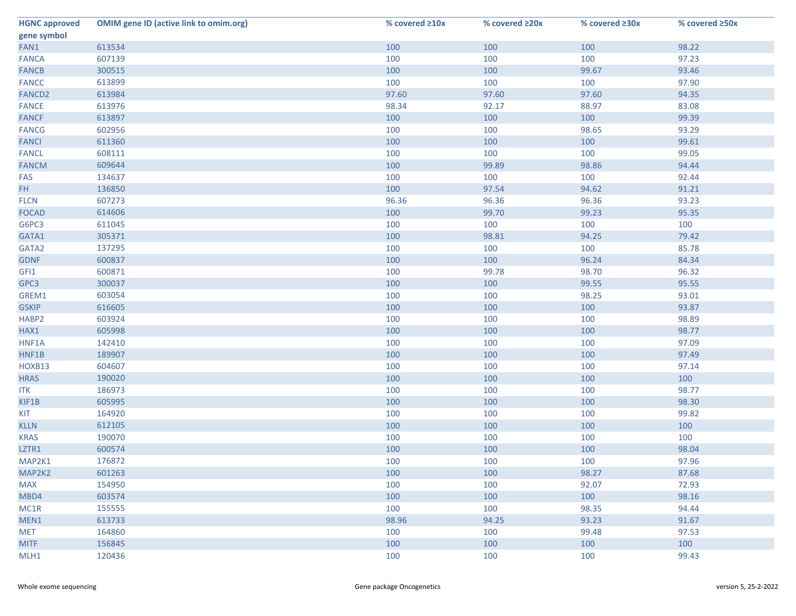| <b>HGNC approved</b> | <b>OMIM gene ID (active link to omim.org)</b> | % covered $\geq 10x$ | % covered ≥20x | % covered ≥30x | % covered ≥50x |
|----------------------|-----------------------------------------------|----------------------|----------------|----------------|----------------|
| gene symbol          |                                               |                      |                |                |                |
| FAN1                 | 613534                                        | 100                  | 100            | 100            | 98.22          |
| <b>FANCA</b>         | 607139                                        | 100                  | 100            | 100            | 97.23          |
| <b>FANCB</b>         | 300515                                        | 100                  | 100            | 99.67          | 93.46          |
| <b>FANCC</b>         | 613899                                        | 100                  | 100            | 100            | 97.90          |
| <b>FANCD2</b>        | 613984                                        | 97.60                | 97.60          | 97.60          | 94.35          |
| <b>FANCE</b>         | 613976                                        | 98.34                | 92.17          | 88.97          | 83.08          |
| <b>FANCF</b>         | 613897                                        | 100                  | 100            | 100            | 99.39          |
| <b>FANCG</b>         | 602956                                        | 100                  | 100            | 98.65          | 93.29          |
| <b>FANCI</b>         | 611360                                        | 100                  | 100            | 100            | 99.61          |
| <b>FANCL</b>         | 608111                                        | 100                  | 100            | 100            | 99.05          |
| <b>FANCM</b>         | 609644                                        | 100                  | 99.89          | 98.86          | 94.44          |
| FAS                  | 134637                                        | 100                  | 100            | 100            | 92.44          |
| FH.                  | 136850                                        | 100                  | 97.54          | 94.62          | 91.21          |
| <b>FLCN</b>          | 607273                                        | 96.36                | 96.36          | 96.36          | 93.23          |
| <b>FOCAD</b>         | 614606                                        | 100                  | 99.70          | 99.23          | 95.35          |
| G6PC3                | 611045                                        | 100                  | 100            | 100            | 100            |
| GATA1                | 305371                                        | 100                  | 98.81          | 94.25          | 79.42          |
| GATA2                | 137295                                        | 100                  | 100            | 100            | 85.78          |
| <b>GDNF</b>          | 600837                                        | 100                  | 100            | 96.24          | 84.34          |
| GFI1                 | 600871                                        | 100                  | 99.78          | 98.70          | 96.32          |
| GPC3                 | 300037                                        | 100                  | 100            | 99.55          | 95.55          |
| GREM1                | 603054                                        | 100                  | 100            | 98.25          | 93.01          |
| <b>GSKIP</b>         | 616605                                        | 100                  | 100            | 100            | 93.87          |
| HABP2                | 603924                                        | 100                  | 100            | 100            | 98.89          |
| HAX1                 | 605998                                        | 100                  | 100            | 100            | 98.77          |
| HNF1A                | 142410                                        | 100                  | 100            | 100            | 97.09          |
| HNF1B                | 189907                                        | 100                  | 100            | 100            | 97.49          |
| HOXB13               | 604607                                        | 100                  | 100            | 100            | 97.14          |
| <b>HRAS</b>          | 190020                                        | 100                  | 100            | 100            | 100            |
| <b>ITK</b>           | 186973                                        | 100                  | 100            | 100            | 98.77          |
| KIF1B                | 605995                                        | 100                  | 100            | 100            | 98.30          |
| KIT                  | 164920                                        | 100                  | 100            | 100            | 99.82          |
| <b>KLLN</b>          | 612105                                        | 100                  | 100            | 100            | 100            |
| <b>KRAS</b>          | 190070                                        | 100                  | 100            | 100            | 100            |
| LZTR1                | 600574                                        | 100                  | 100            | 100            | 98.04          |
| MAP2K1               | 176872                                        | 100                  | 100            | 100            | 97.96          |
| MAP2K2               | 601263                                        | 100                  | 100            | 98.27          | 87.68          |
| <b>MAX</b>           | 154950                                        | 100                  | 100            | 92.07          | 72.93          |
| MBD4                 | 603574                                        | 100                  | 100            | 100            | 98.16          |
| MC1R                 | 155555                                        | 100                  | 100            | 98.35          | 94.44          |
| MEN1                 | 613733                                        | 98.96                | 94.25          | 93.23          | 91.67          |
| <b>MET</b>           | 164860                                        | 100                  | 100            | 99.48          | 97.53          |
| <b>MITF</b>          | 156845                                        | 100                  | 100            | 100            | 100            |
| MLH1                 | 120436                                        | 100                  | 100            | 100            | 99.43          |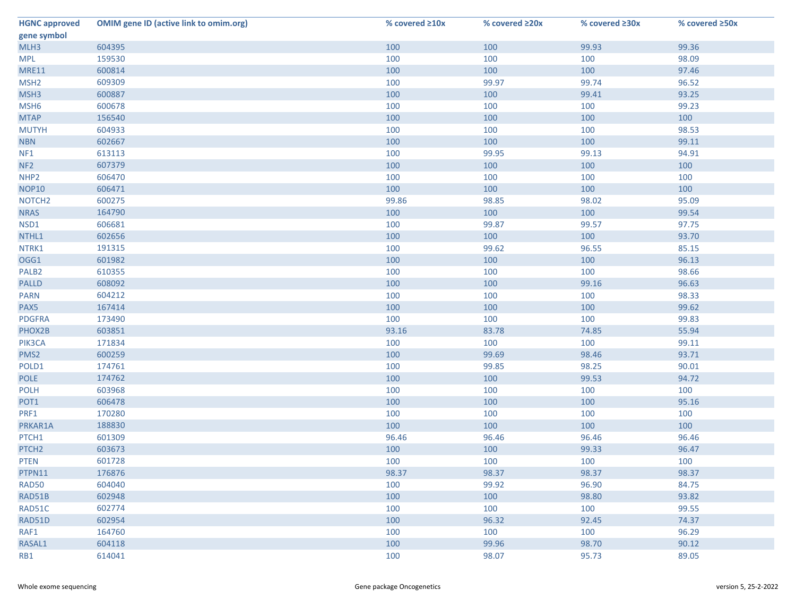| <b>HGNC approved</b> | <b>OMIM gene ID (active link to omim.org)</b> | % covered ≥10x | % covered ≥20x | % covered ≥30x | % covered ≥50x |
|----------------------|-----------------------------------------------|----------------|----------------|----------------|----------------|
| gene symbol          |                                               |                |                |                |                |
| MLH3                 | 604395                                        | 100            | 100            | 99.93          | 99.36          |
| <b>MPL</b>           | 159530                                        | 100            | 100            | 100            | 98.09          |
| <b>MRE11</b>         | 600814                                        | 100            | 100            | 100            | 97.46          |
| MSH <sub>2</sub>     | 609309                                        | 100            | 99.97          | 99.74          | 96.52          |
| MSH3                 | 600887                                        | 100            | 100            | 99.41          | 93.25          |
| MSH <sub>6</sub>     | 600678                                        | 100            | 100            | 100            | 99.23          |
| <b>MTAP</b>          | 156540                                        | 100            | 100            | 100            | 100            |
| <b>MUTYH</b>         | 604933                                        | 100            | 100            | 100            | 98.53          |
| <b>NBN</b>           | 602667                                        | 100            | 100            | 100            | 99.11          |
| NF1                  | 613113                                        | 100            | 99.95          | 99.13          | 94.91          |
| NF <sub>2</sub>      | 607379                                        | 100            | 100            | 100            | 100            |
| NHP <sub>2</sub>     | 606470                                        | 100            | 100            | 100            | 100            |
| <b>NOP10</b>         | 606471                                        | 100            | 100            | 100            | 100            |
| NOTCH <sub>2</sub>   | 600275                                        | 99.86          | 98.85          | 98.02          | 95.09          |
| <b>NRAS</b>          | 164790                                        | 100            | 100            | 100            | 99.54          |
| NSD1                 | 606681                                        | 100            | 99.87          | 99.57          | 97.75          |
| NTHL1                | 602656                                        | 100            | 100            | 100            | 93.70          |
| NTRK1                | 191315                                        | 100            | 99.62          | 96.55          | 85.15          |
| OGG1                 | 601982                                        | 100            | 100            | 100            | 96.13          |
| PALB <sub>2</sub>    | 610355                                        | 100            | 100            | 100            | 98.66          |
| <b>PALLD</b>         | 608092                                        | 100            | 100            | 99.16          | 96.63          |
| <b>PARN</b>          | 604212                                        | 100            | 100            | 100            | 98.33          |
| PAX5                 | 167414                                        | 100            | 100            | 100            | 99.62          |
| <b>PDGFRA</b>        | 173490                                        | 100            | 100            | 100            | 99.83          |
| PHOX2B               | 603851                                        | 93.16          | 83.78          | 74.85          | 55.94          |
| PIK3CA               | 171834                                        | 100            | 100            | 100            | 99.11          |
| PMS <sub>2</sub>     | 600259                                        | 100            | 99.69          | 98.46          | 93.71          |
| POLD1                | 174761                                        | 100            | 99.85          | 98.25          | 90.01          |
| <b>POLE</b>          | 174762                                        | 100            | 100            | 99.53          | 94.72          |
| <b>POLH</b>          | 603968                                        | 100            | 100            | 100            | 100            |
| POT <sub>1</sub>     | 606478                                        | 100            | 100            | 100            | 95.16          |
| PRF1                 | 170280                                        | 100            | 100            | 100            | 100            |
| PRKAR1A              | 188830                                        | 100            | 100            | 100            | 100            |
| PTCH1                | 601309                                        | 96.46          | 96.46          | 96.46          | 96.46          |
| PTCH <sub>2</sub>    | 603673                                        | 100            | 100            | 99.33          | 96.47          |
| <b>PTEN</b>          | 601728                                        | 100            | 100            | 100            | 100            |
| PTPN11               | 176876                                        | 98.37          | 98.37          | 98.37          | 98.37          |
| <b>RAD50</b>         | 604040                                        | 100            | 99.92          | 96.90          | 84.75          |
| RAD51B               | 602948                                        | 100            | 100            | 98.80          | 93.82          |
| RAD51C               | 602774                                        | 100            | 100            | 100            | 99.55          |
| RAD51D               | 602954                                        | 100            | 96.32          | 92.45          | 74.37          |
| RAF1                 | 164760                                        | 100            | 100            | 100            | 96.29          |
| RASAL1               | 604118                                        | 100            | 99.96          | 98.70          | 90.12          |
| RB1                  | 614041                                        | 100            | 98.07          | 95.73          | 89.05          |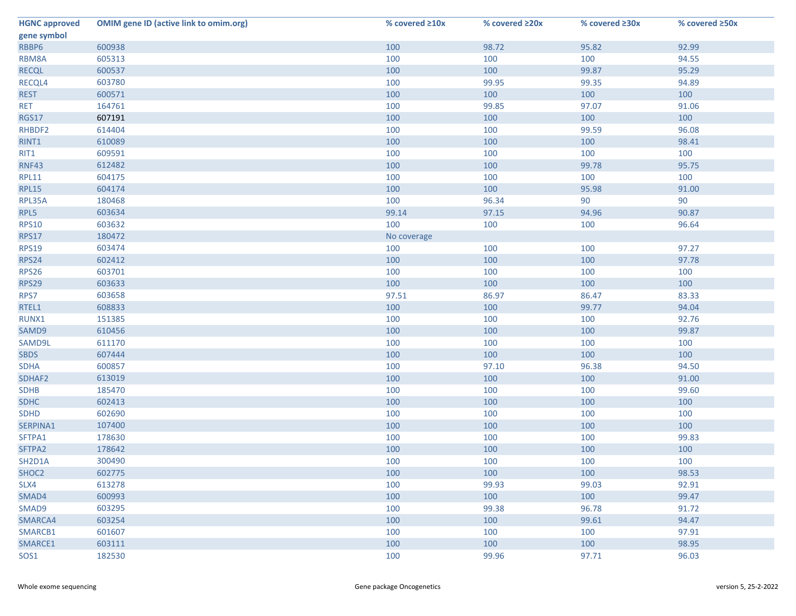| <b>HGNC approved</b> | <b>OMIM gene ID (active link to omim.org)</b> | % covered ≥10x | % covered ≥20x | % covered ≥30x | % covered ≥50x |
|----------------------|-----------------------------------------------|----------------|----------------|----------------|----------------|
| gene symbol          |                                               |                |                |                |                |
| RBBP6                | 600938                                        | 100            | 98.72          | 95.82          | 92.99          |
| RBM8A                | 605313                                        | 100            | 100            | 100            | 94.55          |
| <b>RECQL</b>         | 600537                                        | 100            | 100            | 99.87          | 95.29          |
| RECQL4               | 603780                                        | 100            | 99.95          | 99.35          | 94.89          |
| <b>REST</b>          | 600571                                        | 100            | 100            | 100            | 100            |
| <b>RET</b>           | 164761                                        | 100            | 99.85          | 97.07          | 91.06          |
| <b>RGS17</b>         | 607191                                        | 100            | 100            | 100            | 100            |
| RHBDF2               | 614404                                        | 100            | 100            | 99.59          | 96.08          |
| RINT1                | 610089                                        | 100            | 100            | 100            | 98.41          |
| RIT1                 | 609591                                        | 100            | 100            | 100            | 100            |
| <b>RNF43</b>         | 612482                                        | 100            | 100            | 99.78          | 95.75          |
| <b>RPL11</b>         | 604175                                        | 100            | 100            | 100            | 100            |
| <b>RPL15</b>         | 604174                                        | 100            | 100            | 95.98          | 91.00          |
| RPL35A               | 180468                                        | 100            | 96.34          | 90             | 90             |
| RPL5                 | 603634                                        | 99.14          | 97.15          | 94.96          | 90.87          |
| <b>RPS10</b>         | 603632                                        | 100            | 100            | 100            | 96.64          |
| <b>RPS17</b>         | 180472                                        | No coverage    |                |                |                |
| <b>RPS19</b>         | 603474                                        | 100            | 100            | 100            | 97.27          |
| <b>RPS24</b>         | 602412                                        | 100            | 100            | 100            | 97.78          |
| <b>RPS26</b>         | 603701                                        | 100            | 100            | 100            | 100            |
| <b>RPS29</b>         | 603633                                        | 100            | 100            | 100            | 100            |
| RPS7                 | 603658                                        | 97.51          | 86.97          | 86.47          | 83.33          |
| RTEL1                | 608833                                        | 100            | 100            | 99.77          | 94.04          |
| RUNX1                | 151385                                        | 100            | 100            | 100            | 92.76          |
| SAMD9                | 610456                                        | 100            | 100            | 100            | 99.87          |
| SAMD9L               | 611170                                        | 100            | 100            | 100            | 100            |
| <b>SBDS</b>          | 607444                                        | 100            | 100            | 100            | 100            |
| <b>SDHA</b>          | 600857                                        | 100            | 97.10          | 96.38          | 94.50          |
| SDHAF2               | 613019                                        | 100            | 100            | 100            | 91.00          |
| <b>SDHB</b>          | 185470                                        | 100            | 100            | 100            | 99.60          |
| <b>SDHC</b>          | 602413                                        | 100            | 100            | 100            | 100            |
| <b>SDHD</b>          | 602690                                        | 100            | 100            | 100            | 100            |
| SERPINA1             | 107400                                        | 100            | 100            | 100            | 100            |
| SFTPA1               | 178630                                        | 100            | 100            | 100            | 99.83          |
| SFTPA2               | 178642                                        | 100            | 100            | 100            | 100            |
| SH2D1A               | 300490                                        | 100            | 100            | 100            | 100            |
| SHOC <sub>2</sub>    | 602775                                        | 100            | 100            | 100            | 98.53          |
| SLX4                 | 613278                                        | 100            | 99.93          | 99.03          | 92.91          |
| SMAD4                | 600993                                        | 100            | 100            | 100            | 99.47          |
| SMAD9                | 603295                                        | 100            | 99.38          | 96.78          | 91.72          |
| SMARCA4              | 603254                                        | 100            | 100            | 99.61          | 94.47          |
| SMARCB1              | 601607                                        | 100            | 100            | 100            | 97.91          |
| SMARCE1              | 603111                                        | 100            | 100            | 100            | 98.95          |
| SOS1                 | 182530                                        | 100            | 99.96          | 97.71          | 96.03          |